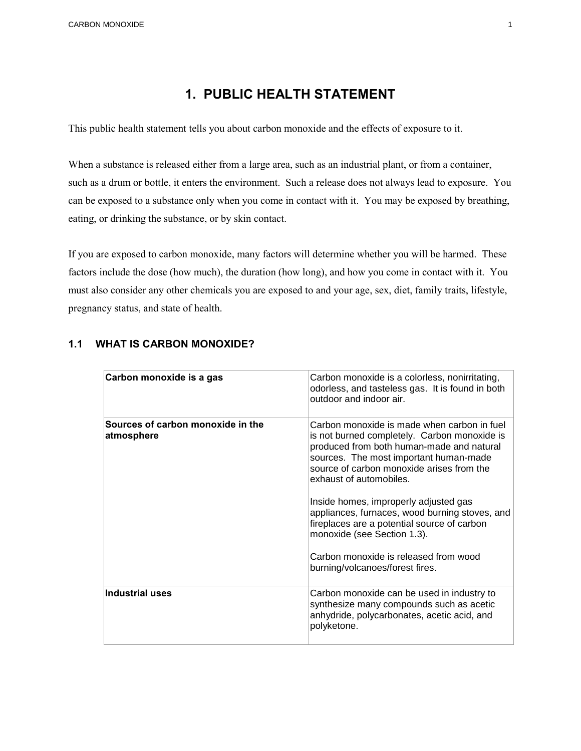# **1. PUBLIC HEALTH STATEMENT**

This public health statement tells you about carbon monoxide and the effects of exposure to it.

 When a substance is released either from a large area, such as an industrial plant, or from a container, such as a drum or bottle, it enters the environment. Such a release does not always lead to exposure. You can be exposed to a substance only when you come in contact with it. You may be exposed by breathing, eating, or drinking the substance, or by skin contact.

 If you are exposed to carbon monoxide, many factors will determine whether you will be harmed. These pregnancy status, and state of health. factors include the dose (how much), the duration (how long), and how you come in contact with it. You must also consider any other chemicals you are exposed to and your age, sex, diet, family traits, lifestyle,

| Carbon monoxide is a gas                        | Carbon monoxide is a colorless, nonirritating,<br>odorless, and tasteless gas. It is found in both<br>outdoor and indoor air.                                                                                                                                                                                                                                                                                                                                                                                   |
|-------------------------------------------------|-----------------------------------------------------------------------------------------------------------------------------------------------------------------------------------------------------------------------------------------------------------------------------------------------------------------------------------------------------------------------------------------------------------------------------------------------------------------------------------------------------------------|
| Sources of carbon monoxide in the<br>atmosphere | Carbon monoxide is made when carbon in fuel<br>is not burned completely. Carbon monoxide is<br>produced from both human-made and natural<br>sources. The most important human-made<br>source of carbon monoxide arises from the<br>exhaust of automobiles.<br>Inside homes, improperly adjusted gas<br>appliances, furnaces, wood burning stoves, and<br>fireplaces are a potential source of carbon<br>monoxide (see Section 1.3).<br>Carbon monoxide is released from wood<br>burning/volcanoes/forest fires. |
| <b>Industrial uses</b>                          | Carbon monoxide can be used in industry to<br>synthesize many compounds such as acetic<br>anhydride, polycarbonates, acetic acid, and<br>polyketone.                                                                                                                                                                                                                                                                                                                                                            |

#### **1.1 WHAT IS CARBON MONOXIDE?**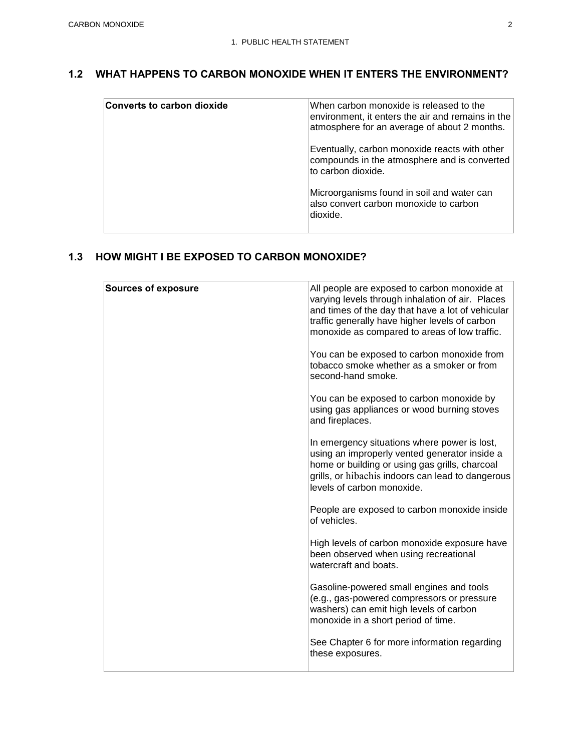### **1.2 WHAT HAPPENS TO CARBON MONOXIDE WHEN IT ENTERS THE ENVIRONMENT?**

| <b>Converts to carbon dioxide</b> | When carbon monoxide is released to the<br>environment, it enters the air and remains in the<br>atmosphere for an average of about 2 months. |
|-----------------------------------|----------------------------------------------------------------------------------------------------------------------------------------------|
|                                   | Eventually, carbon monoxide reacts with other<br>compounds in the atmosphere and is converted<br>to carbon dioxide.                          |
|                                   | Microorganisms found in soil and water can<br>also convert carbon monoxide to carbon<br>dioxide.                                             |

| <b>Sources of exposure</b> | All people are exposed to carbon monoxide at<br>varying levels through inhalation of air. Places<br>and times of the day that have a lot of vehicular<br>traffic generally have higher levels of carbon<br>monoxide as compared to areas of low traffic.<br>You can be exposed to carbon monoxide from<br>tobacco smoke whether as a smoker or from<br>second-hand smoke. |
|----------------------------|---------------------------------------------------------------------------------------------------------------------------------------------------------------------------------------------------------------------------------------------------------------------------------------------------------------------------------------------------------------------------|
|                            | You can be exposed to carbon monoxide by<br>using gas appliances or wood burning stoves<br>and fireplaces.                                                                                                                                                                                                                                                                |
|                            | In emergency situations where power is lost,<br>using an improperly vented generator inside a<br>home or building or using gas grills, charcoal<br>grills, or hibachis indoors can lead to dangerous<br>levels of carbon monoxide.                                                                                                                                        |
|                            | People are exposed to carbon monoxide inside<br>of vehicles.                                                                                                                                                                                                                                                                                                              |
|                            | High levels of carbon monoxide exposure have<br>been observed when using recreational<br>watercraft and boats.                                                                                                                                                                                                                                                            |
|                            | Gasoline-powered small engines and tools<br>(e.g., gas-powered compressors or pressure<br>washers) can emit high levels of carbon<br>monoxide in a short period of time.                                                                                                                                                                                                  |
|                            | See Chapter 6 for more information regarding<br>these exposures.                                                                                                                                                                                                                                                                                                          |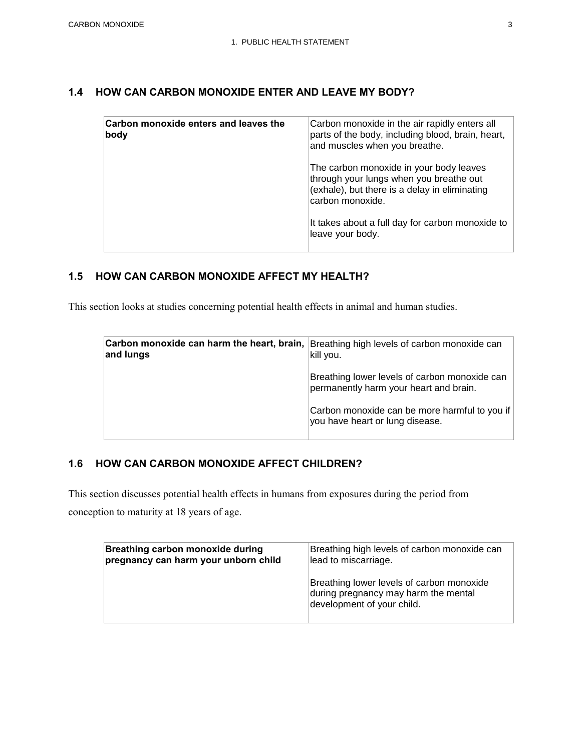### **1.4 HOW CAN CARBON MONOXIDE ENTER AND LEAVE MY BODY?**

| Carbon monoxide enters and leaves the<br> body | Carbon monoxide in the air rapidly enters all<br>parts of the body, including blood, brain, heart,<br>and muscles when you breathe.                     |
|------------------------------------------------|---------------------------------------------------------------------------------------------------------------------------------------------------------|
|                                                | The carbon monoxide in your body leaves<br>through your lungs when you breathe out<br>(exhale), but there is a delay in eliminating<br>carbon monoxide. |
|                                                | It takes about a full day for carbon monoxide to<br>leave your body.                                                                                    |

#### **1.5 HOW CAN CARBON MONOXIDE AFFECT MY HEALTH?**

This section looks at studies concerning potential health effects in animal and human studies.

| Carbon monoxide can harm the heart, brain,<br>and lungs | Breathing high levels of carbon monoxide can<br>kill you.                               |
|---------------------------------------------------------|-----------------------------------------------------------------------------------------|
|                                                         | Breathing lower levels of carbon monoxide can<br>permanently harm your heart and brain. |
|                                                         | Carbon monoxide can be more harmful to you if<br>you have heart or lung disease.        |

#### **1.6 HOW CAN CARBON MONOXIDE AFFECT CHILDREN?**

This section discusses potential health effects in humans from exposures during the period from

conception to maturity at 18 years of age.

| <b>Breathing carbon monoxide during</b> | Breathing high levels of carbon monoxide can                                                                    |
|-----------------------------------------|-----------------------------------------------------------------------------------------------------------------|
| pregnancy can harm your unborn child    | lead to miscarriage.                                                                                            |
|                                         | Breathing lower levels of carbon monoxide<br>during pregnancy may harm the mental<br>development of your child. |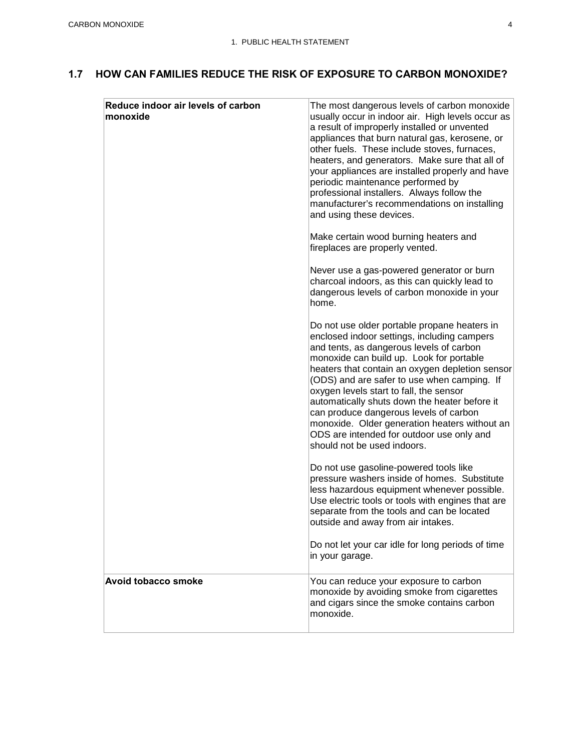## **1.7 HOW CAN FAMILIES REDUCE THE RISK OF EXPOSURE TO CARBON MONOXIDE?**

| Reduce indoor air levels of carbon<br>monoxide | The most dangerous levels of carbon monoxide<br>usually occur in indoor air. High levels occur as<br>a result of improperly installed or unvented<br>appliances that burn natural gas, kerosene, or<br>other fuels. These include stoves, furnaces,<br>heaters, and generators. Make sure that all of<br>your appliances are installed properly and have<br>periodic maintenance performed by<br>professional installers. Always follow the<br>manufacturer's recommendations on installing<br>and using these devices.<br>Make certain wood burning heaters and<br>fireplaces are properly vented.<br>Never use a gas-powered generator or burn<br>charcoal indoors, as this can quickly lead to<br>dangerous levels of carbon monoxide in your<br>home.<br>Do not use older portable propane heaters in<br>enclosed indoor settings, including campers<br>and tents, as dangerous levels of carbon<br>monoxide can build up. Look for portable<br>heaters that contain an oxygen depletion sensor<br>(ODS) and are safer to use when camping. If<br>oxygen levels start to fall, the sensor<br>automatically shuts down the heater before it<br>can produce dangerous levels of carbon<br>monoxide. Older generation heaters without an<br>ODS are intended for outdoor use only and<br>should not be used indoors.<br>Do not use gasoline-powered tools like<br>pressure washers inside of homes. Substitute<br>less hazardous equipment whenever possible.<br>Use electric tools or tools with engines that are<br>separate from the tools and can be located<br>outside and away from air intakes.<br>Do not let your car idle for long periods of time<br>in your garage. |
|------------------------------------------------|---------------------------------------------------------------------------------------------------------------------------------------------------------------------------------------------------------------------------------------------------------------------------------------------------------------------------------------------------------------------------------------------------------------------------------------------------------------------------------------------------------------------------------------------------------------------------------------------------------------------------------------------------------------------------------------------------------------------------------------------------------------------------------------------------------------------------------------------------------------------------------------------------------------------------------------------------------------------------------------------------------------------------------------------------------------------------------------------------------------------------------------------------------------------------------------------------------------------------------------------------------------------------------------------------------------------------------------------------------------------------------------------------------------------------------------------------------------------------------------------------------------------------------------------------------------------------------------------------------------------------------------------------------------------------------|
| Avoid tobacco smoke                            | You can reduce your exposure to carbon<br>monoxide by avoiding smoke from cigarettes<br>and cigars since the smoke contains carbon<br>monoxide.                                                                                                                                                                                                                                                                                                                                                                                                                                                                                                                                                                                                                                                                                                                                                                                                                                                                                                                                                                                                                                                                                                                                                                                                                                                                                                                                                                                                                                                                                                                                 |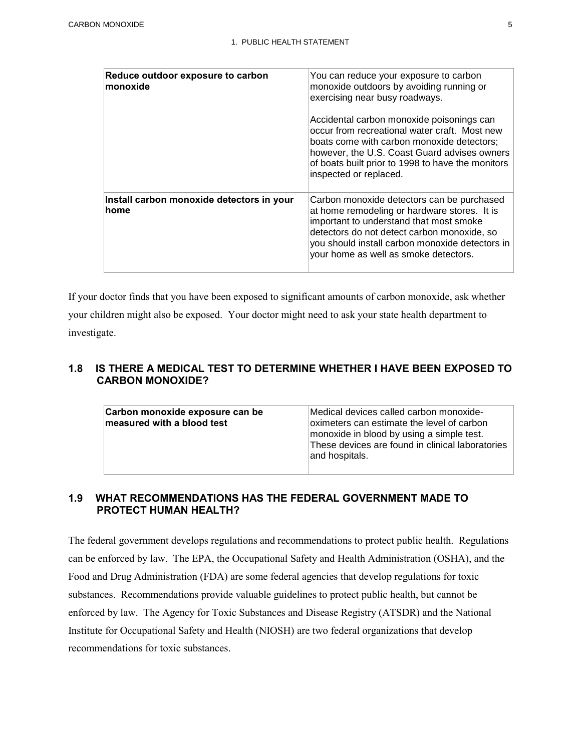| Reduce outdoor exposure to carbon<br>∣monoxide     | You can reduce your exposure to carbon<br>monoxide outdoors by avoiding running or<br>exercising near busy roadways.<br>Accidental carbon monoxide poisonings can<br>occur from recreational water craft. Most new<br>boats come with carbon monoxide detectors;<br>however, the U.S. Coast Guard advises owners<br>of boats built prior to 1998 to have the monitors<br>inspected or replaced. |
|----------------------------------------------------|-------------------------------------------------------------------------------------------------------------------------------------------------------------------------------------------------------------------------------------------------------------------------------------------------------------------------------------------------------------------------------------------------|
| Install carbon monoxide detectors in your<br>∣home | Carbon monoxide detectors can be purchased<br>at home remodeling or hardware stores. It is<br>important to understand that most smoke<br>detectors do not detect carbon monoxide, so<br>you should install carbon monoxide detectors in<br>your home as well as smoke detectors.                                                                                                                |

 If your doctor finds that you have been exposed to significant amounts of carbon monoxide, ask whether your children might also be exposed. Your doctor might need to ask your state health department to investigate.

#### **1.8 IS THERE A MEDICAL TEST TO DETERMINE WHETHER I HAVE BEEN EXPOSED TO CARBON MONOXIDE?**

| Carbon monoxide exposure can be<br>measured with a blood test | Medical devices called carbon monoxide-<br>oximeters can estimate the level of carbon<br>monoxide in blood by using a simple test.<br>These devices are found in clinical laboratories<br>and hospitals. |
|---------------------------------------------------------------|----------------------------------------------------------------------------------------------------------------------------------------------------------------------------------------------------------|

## **1.9 WHAT RECOMMENDATIONS HAS THE FEDERAL GOVERNMENT MADE TO PROTECT HUMAN HEALTH?**

 The federal government develops regulations and recommendations to protect public health. Regulations Food and Drug Administration (FDA) are some federal agencies that develop regulations for toxic enforced by law. The Agency for Toxic Substances and Disease Registry (ATSDR) and the National Institute for Occupational Safety and Health (NIOSH) are two federal organizations that develop recommendations for toxic substances. can be enforced by law. The EPA, the Occupational Safety and Health Administration (OSHA), and the substances. Recommendations provide valuable guidelines to protect public health, but cannot be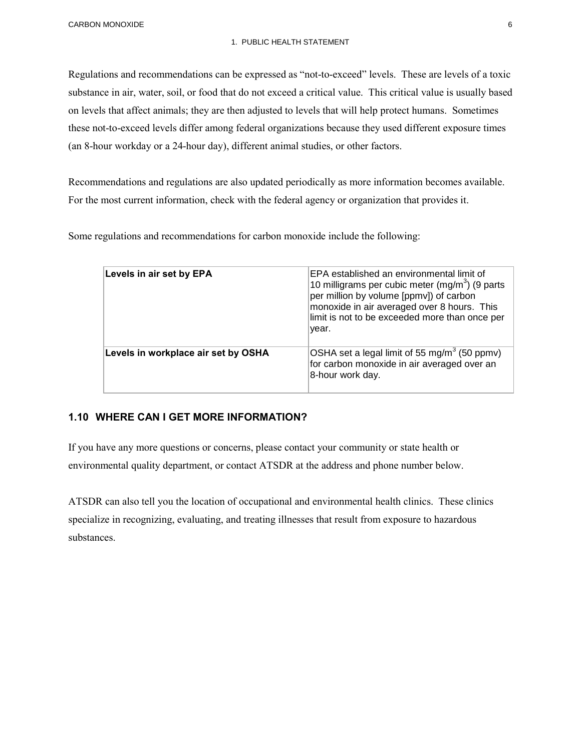CARBON MONOXIDE 6

#### 1. PUBLIC HEALTH STATEMENT

 Regulations and recommendations can be expressed as "not-to-exceed" levels. These are levels of a toxic substance in air, water, soil, or food that do not exceed a critical value. This critical value is usually based on levels that affect animals; they are then adjusted to levels that will help protect humans. Sometimes these not-to-exceed levels differ among federal organizations because they used different exposure times (an 8-hour workday or a 24-hour day), different animal studies, or other factors.

 Recommendations and regulations are also updated periodically as more information becomes available. For the most current information, check with the federal agency or organization that provides it.

Some regulations and recommendations for carbon monoxide include the following:

| Levels in air set by EPA            | EPA established an environmental limit of<br>10 milligrams per cubic meter $(mg/m3)$ (9 parts<br>per million by volume [ppmv]) of carbon<br>monoxide in air averaged over 8 hours. This<br>limit is not to be exceeded more than once per<br>year. |
|-------------------------------------|----------------------------------------------------------------------------------------------------------------------------------------------------------------------------------------------------------------------------------------------------|
| Levels in workplace air set by OSHA | OSHA set a legal limit of 55 mg/m <sup>3</sup> (50 ppmv)<br>for carbon monoxide in air averaged over an<br>8-hour work day.                                                                                                                        |

#### **1.10 WHERE CAN I GET MORE INFORMATION?**

If you have any more questions or concerns, please contact your community or state health or environmental quality department, or contact ATSDR at the address and phone number below.

 specialize in recognizing, evaluating, and treating illnesses that result from exposure to hazardous ATSDR can also tell you the location of occupational and environmental health clinics. These clinics substances.